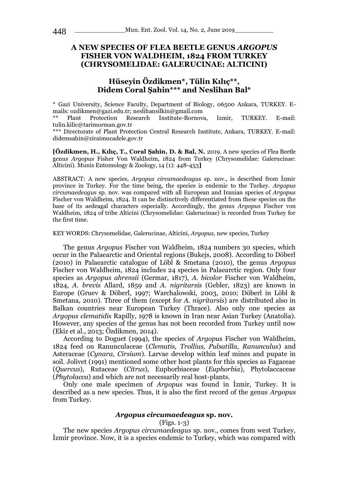# **A NEW SPECIES OF FLEA BEETLE GENUS** *ARGOPUS*  **FISHER VON WALDHEIM, 1824 FROM TURKEY (CHRYSOMELIDAE: GALERUCINAE: ALTICINI)**

# **Hüseyin Özdikmen\*, Tülin Kılıç\*\*, Didem Coral Şahin\*\*\* and Neslihan Bal\***

\* Gazi University, Science Faculty, Department of Biology, 06500 Ankara, TURKEY. Emails: ozdikmen@gazi.edu.tr; neslihansilkin@gmail.com

\*\* Plant Protection Research Institute-Bornova, Izmir, TURKEY. E-mail: tulin.kilic@tarimorman.gov.tr

\*\*\* Directorate of Plant Protection Central Research Institute, Ankara, TURKEY. E-mail: didemsahin@ziraimucadele.gov.tr

**[Özdikmen, H., Kılıç, T., Coral Şahin, D. & Bal, N.** 2019. A new species of Flea Beetle genus *Argopus* Fisher Von Waldheim, 1824 from Turkey (Chrysomelidae: Galerucinae: Alticini). Munis Entomology & Zoology, 14 (1): 448-453**]**

ABSTRACT: A new species, *Argopus circumaedeagus* sp. nov., is described from İzmir province in Turkey. For the time being, the species is endemic to the Turkey. *Argopus circumaedeagus* sp. nov. was compared with all European and Iranian species of *Argopus*  Fischer von Waldheim, 1824. It can be distinctively differentiated from these species on the base of its aedeagal characters especially. Accordingly, the genus *Argopus* Fischer von Waldheim, 1824 of tribe Alticini (Chrysomelidae: Galerucinae) is recorded from Turkey for the first time.

KEY WORDS: Chrysomelidae, Galerucinae, Alticini, *Argopus,* new species, Turkey

The genus *Argopus* Fischer von Waldheim, 1824 numbers 30 species, which occur in the Palaearctic and Oriental regions (Bukejs, 2008). According to Döberl (2010) in Palaearctic catalogue of Löbl & Smetana (2010), the genus *Argopus*  Fischer von Waldheim, 1824 includes 24 species in Palaearctic region. Only four species as *Argopus ahrensii* (Germar, 1817), *A. bicolor* Fischer von Waldheim, 1824, *A. brevis* Allard, 1859 and *A. nigritarsis* (Gebler, 1823) are known in Europe (Gruev & Döberl, 1997; Warchalowski, 2003, 2010; Döberl in Löbl & Smetana, 2010). Three of them (except for *A. nigritarsis*) are distributed also in Balkan countries near European Turkey (Thrace). Also only one species as *Argopus clematidis* Rapilly, 1978 is known in Iran near Asian Turkey (Anatolia). However, any species of the genus has not been recorded from Turkey until now (Ekiz et al., 2013; Özdikmen, 2014).

According to Doguet (1994), the species of *Argopus* Fischer von Waldheim, 1824 feed on Ranunculaceae (*Clematis, Trollius, Pulsatilla, Ranunculus*) and Asteraceae (*Cynara, Cirsium*). Larvae develop within leaf mines and pupate in soil. Jolivet (1991) mentioned some other host plants for this species as Fagaceae (*Quercus*), Rutaceae (*Citrus*), Euphorbiaceae (*Euphorbia*), Phytolaccaceae (*Phytolacca*) and which are not necessarily real host-plants.

Only one male specimen of *Argopus* was found in İzmir, Turkey. It is described as a new species. Thus, it is also the first record of the genus *Argopus* from Turkey.

#### *Argopus circumaedeagus* **sp. nov.**

### (Figs. 1-3)

The new species *Argopus circumaedeagus* sp. nov., comes from west Turkey, İzmir province. Now, it is a species endemic to Turkey, which was compared with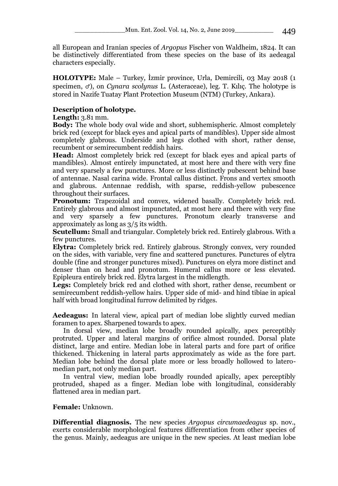all European and Iranian species of *Argopus* Fischer von Waldheim, 1824. It can be distinctively differentiated from these species on the base of its aedeagal characters especially.

**HOLOTYPE:** Male – Turkey, İzmir province, Urla, Demircili, 03 May 2018 (1 specimen, ♂), on *Cynara scolynus* L. (Asteraceae), leg. T. Kılıç. The holotype is stored in Nazife Tuatay Plant Protection Museum (NTM) (Turkey, Ankara).

# **Description of holotype.**

### **Length:** 3.81 mm.

**Body:** The whole body oval wide and short, subhemispheric. Almost completely brick red (except for black eyes and apical parts of mandibles). Upper side almost completely glabrous. Underside and legs clothed with short, rather dense, recumbent or semirecumbent reddish hairs.

**Head:** Almost completely brick red (except for black eyes and apical parts of mandibles). Almost entirely impunctated, at most here and there with very fine and very sparsely a few punctures. More or less distinctly pubescent behind base of antennae. Nasal carina wide. Frontal callus distinct. Frons and vertex smooth and glabrous. Antennae reddish, with sparse, reddish-yellow pubescence throughout their surfaces.

**Pronotum:** Trapezoidal and convex, widened basally. Completely brick red. Entirely glabrous and almost impunctated, at most here and there with very fine and very sparsely a few punctures. Pronotum clearly transverse and approximately as long as 3/5 its width.

**Scutellum:** Small and triangular. Completely brick red. Entirely glabrous. With a few punctures.

**Elytra:** Completely brick red. Entirely glabrous. Strongly convex, very rounded on the sides, with variable, very fine and scattered punctures. Punctures of elytra double (fine and stronger punctures mixed). Punctures on elyra more distinct and denser than on head and pronotum. Humeral callus more or less elevated. Epipleura entirely brick red. Elytra largest in the midlength.

**Legs:** Completely brick red and clothed with short, rather dense, recumbent or semirecumbent reddish-yellow hairs. Upper side of mid- and hind tibiae in apical half with broad longitudinal furrow delimited by ridges.

**Aedeagus:** In lateral view, apical part of median lobe slightly curved median foramen to apex. Sharpened towards to apex.

In dorsal view, median lobe broadly rounded apically, apex perceptibly protruted. Upper and lateral margins of orifice almost rounded. Dorsal plate distinct, large and entire. Median lobe in lateral parts and fore part of orifice thickened. Thickening in lateral parts approximately as wide as the fore part. Median lobe behind the dorsal plate more or less broadly hollowed to lateromedian part, not only median part.

In ventral view, median lobe broadly rounded apically, apex perceptibly protruded, shaped as a finger. Median lobe with longitudinal, considerably flattened area in median part.

# **Female:** Unknown.

**Differential diagnosis.** The new species *Argopus circumaedeagus* sp. nov., exerts considerable morphological features differentiation from other species of the genus. Mainly, aedeagus are unique in the new species. At least median lobe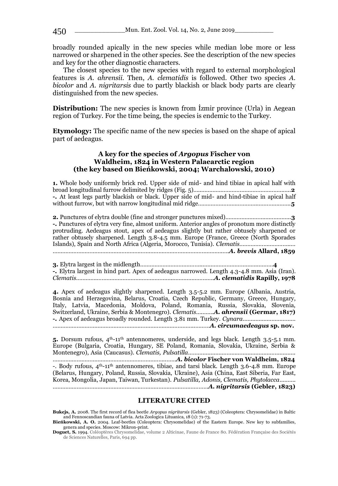broadly rounded apically in the new species while median lobe more or less narrowed or sharpened in the other species. See the description of the new species and key for the other diagnostic characters.

The closest species to the new species with regard to external morphological features is *A. ahrensii*. Then, *A. clematidis* is followed. Other two species *A. bicolor* and *A. nigritarsis* due to partly blackish or black body parts are clearly distinguished from the new species.

**Distribution:** The new species is known from Izmir province (Urla) in Aegean region of Turkey. For the time being, the species is endemic to the Turkey.

**Etymology:** The specific name of the new species is based on the shape of apical part of aedeagus.

### **A key for the species of** *Argopus* **Fischer von Waldheim, 1824 in Western Palaearctic region (the key based on Bieńkowski, 2004; Warchalowski, 2010)**

**1.** Whole body uniformly brick red. Upper side of mid- and hind tibiae in apical half with broad longitudinal furrow delimited by ridges (Fig. 5)…..………………………………………………..**2 -.** At least legs partly blackish or black. Upper side of mid- and hind-tibiae in apical half without furrow, but with narrow longitudinal mid ridge………………………………..………………..**5**

**2.** Punctures of elytra double (fine and stronger punctures mixed)…………………………………..**3 -.** Punctures of elytra very fine, almost uniform. Anterior angles of pronotum more distinctly protruding. Aedeagus stout, apex of aedeagus slightly but rather obtusely sharpened or rather obtusely sharpened. Length 3.8-4.5 mm. Europe (France, Greece (North Sporades Islands), Spain and North Africa (Algeria, Morocco, Tunisia). *Clematis*…………………………..… …………………………………………………………………………………………….….*A. brevis* **Allard, 1859**

**3.** Elytra largest in the midlength.………………………………..……………………………..………**4 -.** Elytra largest in hind part. Apex of aedeagus narrowed. Length 4.3-4.8 mm. Asia (Iran). *Clematis*………….……………………….………………..…………………….*A. clematidis* **Rapilly, 1978**

**4.** Apex of aedeagus slightly sharpened. Length 3.5-5.2 mm. Europe (Albania, Austria, Bosnia and Herzegovina, Belarus, Croatia, Czech Republic, Germany, Greece, Hungary, Italy, Latvia, Macedonia, Moldova, Poland, Romania, Russia, Slovakia, Slovenia, Switzerland, Ukraine, Serbia & Montenegro). *Clematis*….…….*A. ahrensii* **(Germar, 1817) -.** Apex of aedeagus broadly rounded. Length 3.81 mm. Turkey. *Cynara*…………………………… ……………………………………………………………………………..………*A. circumaedeagus* **sp. nov.**

5. Dorsum rufous,  $4<sup>th</sup>$ -11<sup>th</sup> antennomeres, underside, and legs black. Length 3.5-5.1 mm. Europe (Bulgaria, Croatia, Hungary, SE Poland, Romania, Slovakia, Ukraine, Serbia & Montenegro), Asia (Caucasus). *Clematis, Pulsatilla*…………………………………………………………. ……………………………………………………………..……*A. bicolor* **Fischer von Waldheim, 1824** -. Body rufous, 4th-11th antennomeres, tibiae, and tarsi black. Length 3.6-4.8 mm. Europe (Belarus, Hungary, Poland, Russia, Slovakia, Ukraine), Asia (China, East Siberia, Far East, Korea, Mongolia, Japan, Taiwan, Turkestan). *Pulsatilla, Adonis, Clematis, Phytolacca*………. …………………………………………………………………….………………*A. nigritarsis* **(Gebler, 1823)**

### **LITERATURE CITED**

**Bukejs, A.** 2008. The first record of flea beetle *Argopus nigritarsis* (Gebler, 1823) (Coleoptera: Chrysomelidae) in Baltic and Fennoscandian fauna of Latvia. Acta Zoologica Lituanica, 18 (1): 71-73. **Bieńkowski, A. O.** 2004. Leaf-beetles (Coleoptera: Chrysomelidae) of the Eastern Europe. New key to subfamilies,

genera and species. Moscow: Mikron-print.

**Doguet, S.** 1994. Coléoptères Chrysomelidae, volume 2 Alticinae, Faune de France 80. Fédération Française des Sociétés de Sciences Naturelles, Paris, 694 pp.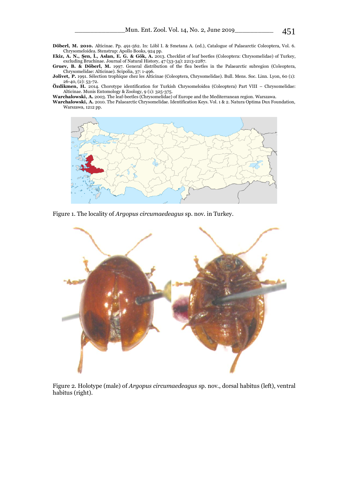**Döberl, M. 2010.** Alticinae. Pp. 491-562. In: Löbl I. & Smetana A. (ed.), Catalogue of Palaearctic Coleoptera, Vol. 6. Chrysomeloidea. Stenstrup: Apollo Books, 924 pp.

**Ekiz, A. N., Şen, İ., Aslan, E. G. & Gök, A.** 2013. Checklist of leaf beetles (Coleoptera: Chrysomelidae) of Turkey, excluding Bruchinae. Journal of Natural History, 47 (33-34): 2213-2287.

**Gruev, B. & Döberl, M.** 1997. General distribution of the flea beetles in the Palaearctic subregion (Coleoptera, Chrysomelidae: Alticinae). Scipolia, 37: 1-496.

**Jolivet, P.** 1991. Sélection trophique chez les Alticinae (Coleoptera, Chrysomelidae). Bull. Mens. Soc. Linn. Lyon, 60 (1): 26-40, (2): 53-72.

**Özdikmen, H.** 2014. Chorotype identification for Turkish Chrysomeloidea (Coleoptera) Part VIII – Chrysomelidae: Alticinae. Munis Entomology & Zoology, 9 (1): 325-375.

**Warchalowski, A.** 2003. The leaf-beetles (Chrysomelidae) of Europe and the Mediterranean region. Warszawa.

**Warchalowski, A.** 2010. The Palaearctic Chrysomelidae. Identification Keys. Vol. 1 & 2. Natura Optima Dux Foundation, Warszawa, 1212 pp.



Figure 1. The locality of *Argopus circumaedeagus* sp. nov. in Turkey.



Figure 2. Holotype (male) of *Argopus circumaedeagus* sp. nov., dorsal habitus (left), ventral habitus (right).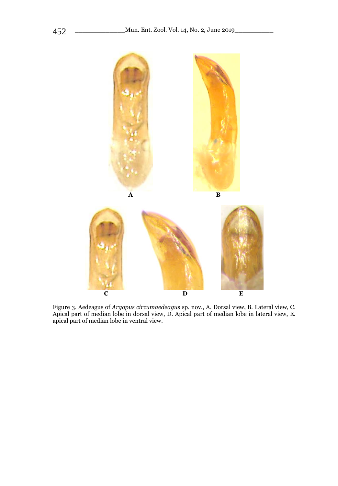

Figure 3. Aedeagus of *Argopus circumaedeagus* sp. nov., A. Dorsal view, B. Lateral view, C. Apical part of median lobe in dorsal view, D. Apical part of median lobe in lateral view, E. apical part of median lobe in ventral view.